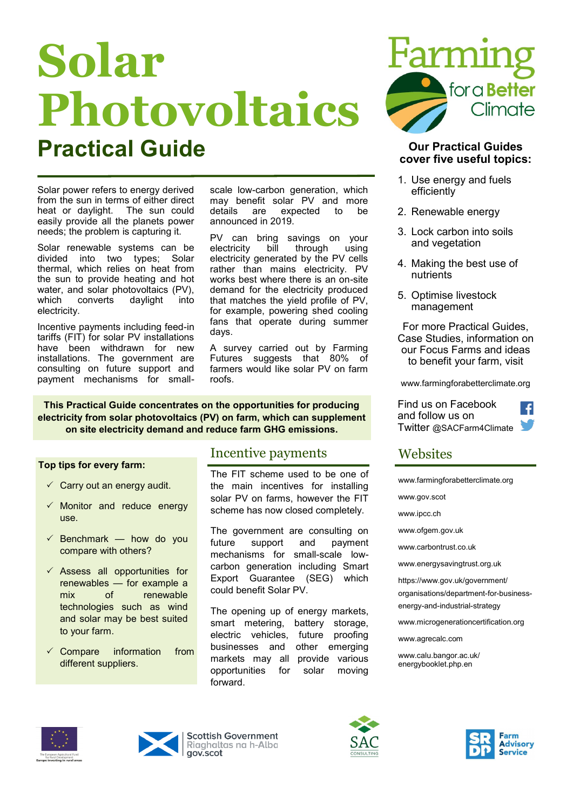# **Solar Photovoltaics Practical Guide Our Practical Guides**

Solar power refers to energy derived from the sun in terms of either direct heat or daylight. The sun could easily provide all the planets power needs; the problem is capturing it.

Solar renewable systems can be divided into two types; Solar thermal, which relies on heat from the sun to provide heating and hot water, and solar photovoltaics (PV),<br>which converts davlight into  $which$  converts daylight electricity.

Incentive payments including feed-in tariffs (FIT) for solar PV installations have been withdrawn for new installations. The government are consulting on future support and payment mechanisms for small-

scale low-carbon generation, which may benefit solar PV and more details are expected to be announced in 2019.

PV can bring savings on your<br>electricity bill through using electricity bill through using electricity generated by the PV cells rather than mains electricity. PV works best where there is an on-site demand for the electricity produced that matches the yield profile of PV, for example, powering shed cooling fans that operate during summer days.

A survey carried out by Farming Futures suggests that 80% of farmers would like solar PV on farm roofs.

**This Practical Guide concentrates on the opportunities for producing electricity from solar photovoltaics (PV) on farm, which can supplement on site electricity demand and reduce farm GHG emissions.**

#### **Top tips for every farm:**

- $\checkmark$  Carry out an energy audit.
- $\checkmark$  Monitor and reduce energy use.
- $\checkmark$  Benchmark how do you compare with others?
- $\checkmark$  Assess all opportunities for renewables — for example a mix of renewable technologies such as wind and solar may be best suited to your farm.
- $\checkmark$  Compare information from different suppliers.

### Incentive payments

The FIT scheme used to be one of the main incentives for installing solar PV on farms, however the FIT scheme has now closed completely.

The government are consulting on future support and payment mechanisms for small-scale lowcarbon generation including Smart Export Guarantee (SEG) which could benefit Solar PV.

The opening up of energy markets, smart metering, battery storage, electric vehicles, future proofing businesses and other emerging markets may all provide various opportunities for solar moving forward.



# **cover five useful topics:**

- 1. Use energy and fuels efficiently
- 2. Renewable energy
- 3. Lock carbon into soils and vegetation
- 4. Making the best use of nutrients
- 5. Optimise livestock management

For more Practical Guides, Case Studies, information on our Focus Farms and ideas to benefit your farm, visit

www.farmingforabetterclimate.org

 $\mathcal{L}$ 

Find us on Facebook and follow us on Twitter @SACFarm4Climate

# **Websites**

[www.farmingforabetterclimate.org](http://www.farmingforabetterclimate.org)

[www.gov.scot](http://www.gov.scot)

[www.ipcc.ch](http://www.ipcc.ch)

[www.ofgem.gov.uk](http://www.ofgem.gov.uk)

[www.carbontrust.co.uk](http://www.carbontrust.co.uk)

[www.energysavingtrust.org.uk](http://www.energysavingtrust.org.uk)

https://www.gov.uk/government/ organisations/department-for-businessenergy-and-industrial-strategy

[www.microgenerationcertification.org](http://www.microgenerationcertification.org)

[www.agrecalc.com](http://www.agrecalc.com)

[www.calu.bangor.ac.uk/](http://www.calu.bangor.ac.uk/energybooklet.php.en) [energybooklet.php.](http://www.calu.bangor.ac.uk/energybooklet.php.en)en